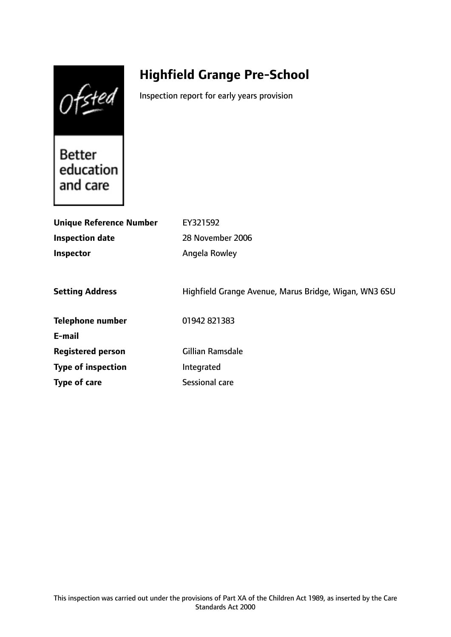Ofsted

# **Highfield Grange Pre-School**

Inspection report for early years provision

Better education and care

| <b>Unique Reference Number</b> | EY321592                                              |
|--------------------------------|-------------------------------------------------------|
| <b>Inspection date</b>         | 28 November 2006                                      |
| Inspector                      | Angela Rowley                                         |
|                                |                                                       |
| <b>Setting Address</b>         | Highfield Grange Avenue, Marus Bridge, Wigan, WN3 6SU |
| <b>Telephone number</b>        | 01942 821383                                          |
| E-mail                         |                                                       |
| <b>Registered person</b>       | <b>Gillian Ramsdale</b>                               |
| <b>Type of inspection</b>      | Integrated                                            |
| Type of care                   | Sessional care                                        |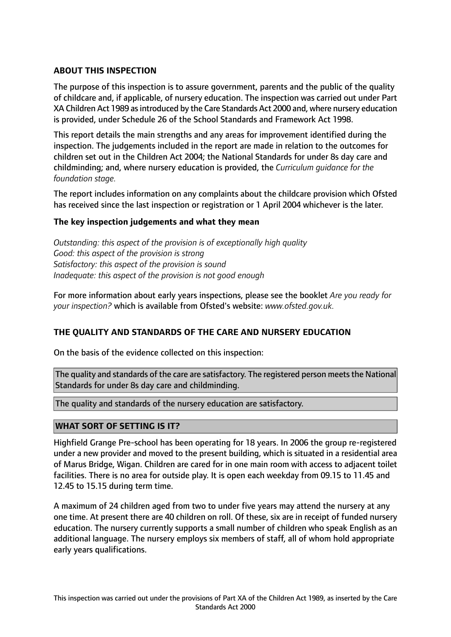# **ABOUT THIS INSPECTION**

The purpose of this inspection is to assure government, parents and the public of the quality of childcare and, if applicable, of nursery education. The inspection was carried out under Part XA Children Act 1989 as introduced by the Care Standards Act 2000 and, where nursery education is provided, under Schedule 26 of the School Standards and Framework Act 1998.

This report details the main strengths and any areas for improvement identified during the inspection. The judgements included in the report are made in relation to the outcomes for children set out in the Children Act 2004; the National Standards for under 8s day care and childminding; and, where nursery education is provided, the *Curriculum guidance for the foundation stage.*

The report includes information on any complaints about the childcare provision which Ofsted has received since the last inspection or registration or 1 April 2004 whichever is the later.

## **The key inspection judgements and what they mean**

*Outstanding: this aspect of the provision is of exceptionally high quality Good: this aspect of the provision is strong Satisfactory: this aspect of the provision is sound Inadequate: this aspect of the provision is not good enough*

For more information about early years inspections, please see the booklet *Are you ready for your inspection?* which is available from Ofsted's website: *www.ofsted.gov.uk.*

## **THE QUALITY AND STANDARDS OF THE CARE AND NURSERY EDUCATION**

On the basis of the evidence collected on this inspection:

The quality and standards of the care are satisfactory. The registered person meets the National Standards for under 8s day care and childminding.

The quality and standards of the nursery education are satisfactory.

## **WHAT SORT OF SETTING IS IT?**

Highfield Grange Pre-school has been operating for 18 years. In 2006 the group re-registered under a new provider and moved to the present building, which is situated in a residential area of Marus Bridge, Wigan. Children are cared for in one main room with access to adjacent toilet facilities. There is no area for outside play. It is open each weekday from 09.15 to 11.45 and 12.45 to 15.15 during term time.

A maximum of 24 children aged from two to under five years may attend the nursery at any one time. At present there are 40 children on roll. Of these, six are in receipt of funded nursery education. The nursery currently supports a small number of children who speak English as an additional language. The nursery employs six members of staff, all of whom hold appropriate early years qualifications.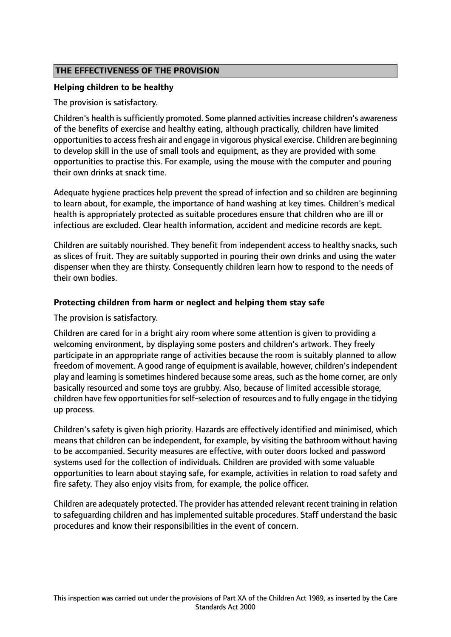# **THE EFFECTIVENESS OF THE PROVISION**

## **Helping children to be healthy**

The provision is satisfactory.

Children's health is sufficiently promoted. Some planned activities increase children's awareness of the benefits of exercise and healthy eating, although practically, children have limited opportunitiesto accessfresh air and engage in vigorous physical exercise. Children are beginning to develop skill in the use of small tools and equipment, as they are provided with some opportunities to practise this. For example, using the mouse with the computer and pouring their own drinks at snack time.

Adequate hygiene practices help prevent the spread of infection and so children are beginning to learn about, for example, the importance of hand washing at key times. Children's medical health is appropriately protected as suitable procedures ensure that children who are ill or infectious are excluded. Clear health information, accident and medicine records are kept.

Children are suitably nourished. They benefit from independent access to healthy snacks, such as slices of fruit. They are suitably supported in pouring their own drinks and using the water dispenser when they are thirsty. Consequently children learn how to respond to the needs of their own bodies.

#### **Protecting children from harm or neglect and helping them stay safe**

The provision is satisfactory.

Children are cared for in a bright airy room where some attention is given to providing a welcoming environment, by displaying some posters and children's artwork. They freely participate in an appropriate range of activities because the room is suitably planned to allow freedom of movement. A good range of equipment is available, however, children'sindependent play and learning is sometimes hindered because some areas, such as the home corner, are only basically resourced and some toys are grubby. Also, because of limited accessible storage, children have few opportunities forself-selection of resources and to fully engage in the tidying up process.

Children's safety is given high priority. Hazards are effectively identified and minimised, which means that children can be independent, for example, by visiting the bathroom without having to be accompanied. Security measures are effective, with outer doors locked and password systems used for the collection of individuals. Children are provided with some valuable opportunities to learn about staying safe, for example, activities in relation to road safety and fire safety. They also enjoy visits from, for example, the police officer.

Children are adequately protected. The provider has attended relevant recent training in relation to safeguarding children and has implemented suitable procedures. Staff understand the basic procedures and know their responsibilities in the event of concern.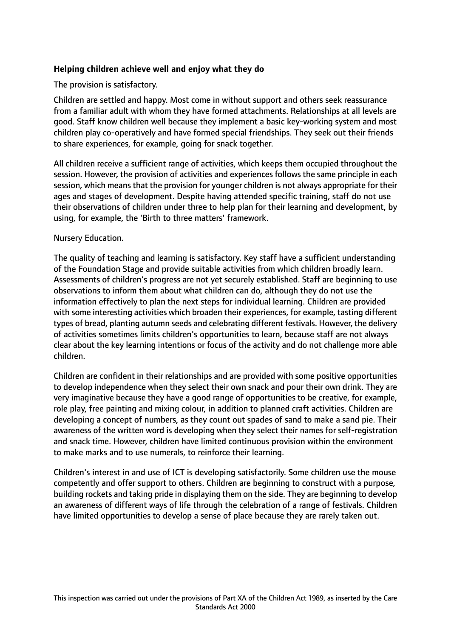# **Helping children achieve well and enjoy what they do**

## The provision is satisfactory.

Children are settled and happy. Most come in without support and others seek reassurance from a familiar adult with whom they have formed attachments. Relationships at all levels are good. Staff know children well because they implement a basic key-working system and most children play co-operatively and have formed special friendships. They seek out their friends to share experiences, for example, going for snack together.

All children receive a sufficient range of activities, which keeps them occupied throughout the session. However, the provision of activities and experiences follows the same principle in each session, which means that the provision for younger children is not always appropriate for their ages and stages of development. Despite having attended specific training, staff do not use their observations of children under three to help plan for their learning and development, by using, for example, the 'Birth to three matters' framework.

#### Nursery Education.

The quality of teaching and learning is satisfactory. Key staff have a sufficient understanding of the Foundation Stage and provide suitable activities from which children broadly learn. Assessments of children's progress are not yet securely established. Staff are beginning to use observations to inform them about what children can do, although they do not use the information effectively to plan the next steps for individual learning. Children are provided with some interesting activities which broaden their experiences, for example, tasting different types of bread, planting autumn seeds and celebrating different festivals. However, the delivery of activities sometimes limits children's opportunities to learn, because staff are not always clear about the key learning intentions or focus of the activity and do not challenge more able children.

Children are confident in their relationships and are provided with some positive opportunities to develop independence when they select their own snack and pour their own drink. They are very imaginative because they have a good range of opportunities to be creative, for example, role play, free painting and mixing colour, in addition to planned craft activities. Children are developing a concept of numbers, as they count out spades of sand to make a sand pie. Their awareness of the written word is developing when they select their names for self-registration and snack time. However, children have limited continuous provision within the environment to make marks and to use numerals, to reinforce their learning.

Children's interest in and use of ICT is developing satisfactorily. Some children use the mouse competently and offer support to others. Children are beginning to construct with a purpose, building rockets and taking pride in displaying them on the side. They are beginning to develop an awareness of different ways of life through the celebration of a range of festivals. Children have limited opportunities to develop a sense of place because they are rarely taken out.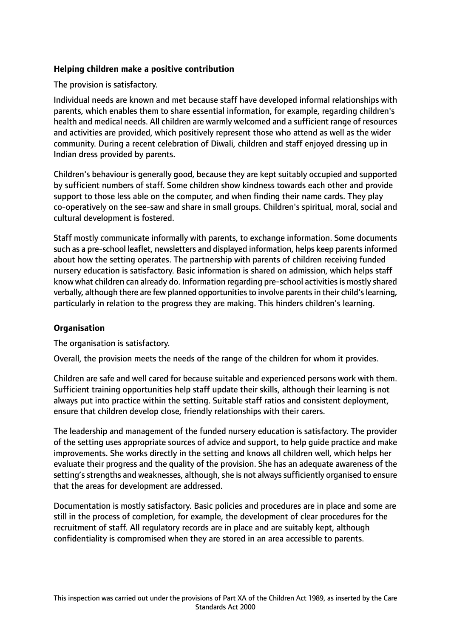# **Helping children make a positive contribution**

The provision is satisfactory.

Individual needs are known and met because staff have developed informal relationships with parents, which enables them to share essential information, for example, regarding children's health and medical needs. All children are warmly welcomed and a sufficient range of resources and activities are provided, which positively represent those who attend as well as the wider community. During a recent celebration of Diwali, children and staff enjoyed dressing up in Indian dress provided by parents.

Children's behaviour is generally good, because they are kept suitably occupied and supported by sufficient numbers of staff. Some children show kindness towards each other and provide support to those less able on the computer, and when finding their name cards. They play co-operatively on the see-saw and share in small groups. Children's spiritual, moral, social and cultural development is fostered.

Staff mostly communicate informally with parents, to exchange information. Some documents such as a pre-school leaflet, newsletters and displayed information, helps keep parents informed about how the setting operates. The partnership with parents of children receiving funded nursery education is satisfactory. Basic information is shared on admission, which helps staff know what children can already do. Information regarding pre-school activities is mostly shared verbally, although there are few planned opportunities to involve parents in their child's learning, particularly in relation to the progress they are making. This hinders children's learning.

# **Organisation**

The organisation is satisfactory.

Overall, the provision meets the needs of the range of the children for whom it provides.

Children are safe and well cared for because suitable and experienced persons work with them. Sufficient training opportunities help staff update their skills, although their learning is not always put into practice within the setting. Suitable staff ratios and consistent deployment, ensure that children develop close, friendly relationships with their carers.

The leadership and management of the funded nursery education is satisfactory. The provider of the setting uses appropriate sources of advice and support, to help guide practice and make improvements. She works directly in the setting and knows all children well, which helps her evaluate their progress and the quality of the provision. She has an adequate awareness of the setting's strengths and weaknesses, although, she is not always sufficiently organised to ensure that the areas for development are addressed.

Documentation is mostly satisfactory. Basic policies and procedures are in place and some are still in the process of completion, for example, the development of clear procedures for the recruitment of staff. All regulatory records are in place and are suitably kept, although confidentiality is compromised when they are stored in an area accessible to parents.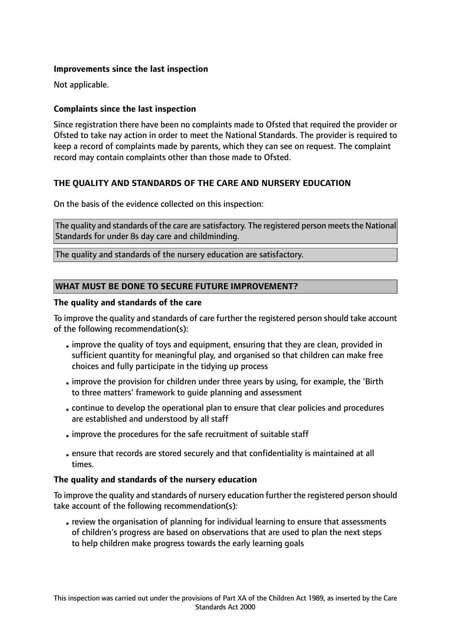# **Improvements since the last inspection**

Not applicable.

# **Complaints since the last inspection**

Since registration there have been no complaints made to Ofsted that required the provider or Ofsted to take nay action in order to meet the National Standards. The provider is required to keep a record of complaints made by parents, which they can see on request. The complaint record may contain complaints other than those made to Ofsted.

# **THE QUALITY AND STANDARDS OF THE CARE AND NURSERY EDUCATION**

On the basis of the evidence collected on this inspection:

The quality and standards of the care are satisfactory. The registered person meets the National Standards for under 8s day care and childminding.

The quality and standards of the nursery education are satisfactory.

## **WHAT MUST BE DONE TO SECURE FUTURE IMPROVEMENT?**

#### **The quality and standards of the care**

To improve the quality and standards of care further the registered person should take account of the following recommendation(s):

- •improve the quality of toys and equipment, ensuring that they are clean, provided in sufficient quantity for meaningful play, and organised so that children can make free choices and fully participate in the tidying up process
- •improve the provision for children under three years by using, for example, the 'Birth to three matters' framework to guide planning and assessment
- •continue to develop the operational plan to ensure that clear policies and procedures are established and understood by all staff
- •improve the procedures for the safe recruitment of suitable staff
- •ensure that records are stored securely and that confidentiality is maintained at all times.

## **The quality and standards of the nursery education**

To improve the quality and standards of nursery education further the registered person should take account of the following recommendation(s):

• review the organisation of planning for individual learning to ensure that assessments of children's progress are based on observations that are used to plan the next steps to help children make progress towards the early learning goals